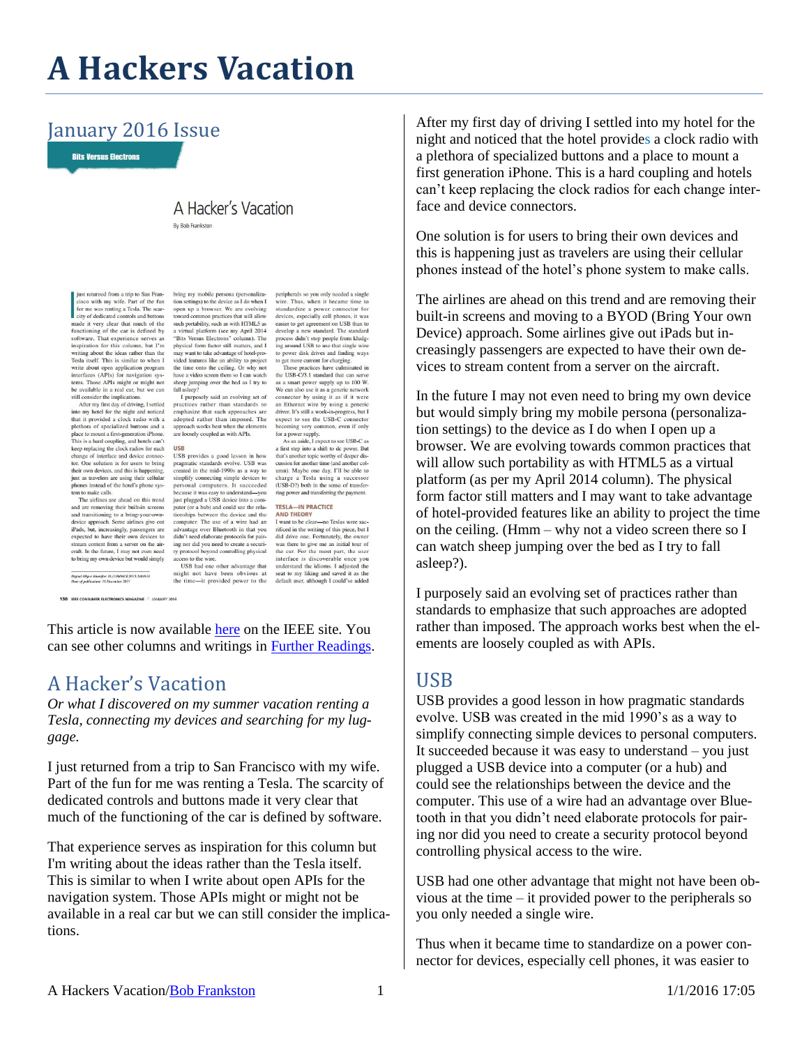# **A Hackers Vacation**

#### January 2016 Issue

**Bits Versus Electrons** 

### A Hacker's Vacation

**By Bob Frankston** 

ust returned from a trip to San Francisco with my wife. Part of the fun<br>for me was renting a Tesla. The scar-<br>city of dedicated controls and buttons if city of dedicated controls and buttons<br>made it very clear that much of the<br>functioning of the car is defined by<br>software. That experience serves as<br>inspiration for this column, but  $\Gamma$ m<br>writing about the ideas rather Tesla itself. This is similar to when I write about open application program<br>interfaces (APIs) for navigation sys-

interfaces (APIs) for navigation systems.<br>These terms, Those APIs might or might not<br>be available in a real car, but we can<br>still consider the implications.<br>After my first day of driving, I settled<br>into my hotel for the ni plethora of specialized buttons and a place to mount a first-generation iPhone place to mount a insegeneration frione.<br>This is a hard coupling, and hotels can't<br>keep replacing the clock radios for each<br>change of interface and device connecscape performance understand and device connector. One solution is for users to bring<br>their own devices, and this is happening,<br>just as travelers are using their cellular<br>phones instead of the hotel's phone sys-<br>to-maximum tem to make calls. The airlines are ahead on this trend

and are removing their built-in screens and are removing their bunt-in screens<br>and transitioning to a bring-your-own-<br>device approach. Some airlines give out<br>iPads, but, increasingly, passengers are device approach. Some airlines give out<br>iPads, but, increasingly, passengers are<br>expected to have their own devices to<br>stream content from a server on the air-<br>craft. In the future, I may not even need<br>to bring my own devi

-<br>Digital Object Identifier 10.1109/MCE.2015.2484918<br>Date of publication: 16 December 2015 130 IEEE CONSUMER ELECTRONICS MAGAZINE A JANUARY 2016

bring my mobile persona (personalizabring my monic persona (personaliza-<br>tion settings) to the device as I do when I<br>toward common practices that will allow<br>toward common practices that will allow<br>such portability, such as with HTML5 as<br>a virtual platform (s may want to take advantage of hotel-pro-<br>vided features like an ability to project the time onto the ceiling. Or why not have a video screen there so I can watch have a video screen there so I can watch<br>sheep jumping over the bed as I try to<br>fall asleep?

fall as<br>leep? I parposely said an evolving set of practices rather than standards to<br>practices rather than standards to<br>emphasize that such approaches are<br>adopted rather than imposed. The<br>approach works best when the eleme are loosely coupled as with APIs.

USB provides a good lesson in how Osp provinces a good resour in now<br>created in the mid-1990s as a way to<br>created in the mid-1990s as a way to<br>simplify connecting simple devices to<br>personal computers. It succeeded because it was easy to understand-you<br>just plugged a USB device into a computer (or a hub) and could see the relationships between the device and the tionships between the device and the<br>computer. The use of a wire had an<br>advantage over Bluetooth in that you<br>didn't need elaborate protocols for pair-<br>ing nor did you need to create a securi-<br>ty protocol beyond controlling access to the wire. USB had one other advantage that

might not have been obvious at seat to my liking and saved it as the the time---it provided power to the default user, although I could've added

peripherals so you only needed a single periphensis so you only needed a single<br>wire. Thus, when it became time to<br>standardize a power connector for<br>devices, especially cell phones, it was<br>easier to get agreement on USB than to<br>develop a new standard. The standa to get more current for charging These practices have culminated in

the USB-C/3.1 standard that can serve the USB-C/3.1 standard that can serve<br>as a smart power supply up to 100 W.<br>We can also use it as a generic network<br>connector by using it as if it were<br>an Ethernet wire by using a generic<br>driver. It's still a work-in-progre becoming very common, even if only for a power supply.

As an aside. I expect to see USB-C as As an assie, 1 expect to see USM-C as<br>a first step into a shift to de power. But<br>that's another topic worthy of deeper dis-<br>cussion for another time (and another column). Maybe one day, I'll be able to<br>charge a Tesla using ring power and transferring the payment.

#### **TESLA-IN PRACTICE AND THEORY**

**AND THEORY**<br> **AND THEORY**<br> **I** vant to be clear—no Teslas were sac-<br> **I** right did drive one. Fortunately, the owner<br>
was there to give me an initial tour of<br>
the car. For the most part, the user<br>
interface is discoverab understand the idioms. I adjusted the

This article is now available [here](http://ieeexplore.ieee.org/stamp/stamp.jsp?tp=&arnumber=7353273) on the IEEE site. You can see other columns and writings in [Further Readings.](http://rmf.vc/FurtherReadings)

#### A Hacker's Vacation

*Or what I discovered on my summer vacation renting a Tesla, connecting my devices and searching for my luggage.*

I just returned from a trip to San Francisco with my wife. Part of the fun for me was renting a Tesla. The scarcity of dedicated controls and buttons made it very clear that much of the functioning of the car is defined by software.

That experience serves as inspiration for this column but I'm writing about the ideas rather than the Tesla itself. This is similar to when I write about open APIs for the navigation system. Those APIs might or might not be available in a real car but we can still consider the implications.

After my first day of driving I settled into my hotel for the night and noticed that the hotel provides a clock radio with a plethora of specialized buttons and a place to mount a first generation iPhone. This is a hard coupling and hotels can't keep replacing the clock radios for each change interface and device connectors.

One solution is for users to bring their own devices and this is happening just as travelers are using their cellular phones instead of the hotel's phone system to make calls.

The airlines are ahead on this trend and are removing their built-in screens and moving to a BYOD (Bring Your own Device) approach. Some airlines give out iPads but increasingly passengers are expected to have their own devices to stream content from a server on the aircraft.

In the future I may not even need to bring my own device but would simply bring my mobile persona (personalization settings) to the device as I do when I open up a browser. We are evolving towards common practices that will allow such portability as with HTML5 as a virtual platform (as per my April 2014 column). The physical form factor still matters and I may want to take advantage of hotel-provided features like an ability to project the time on the ceiling. (Hmm – why not a video screen there so I can watch sheep jumping over the bed as I try to fall asleep?).

I purposely said an evolving set of practices rather than standards to emphasize that such approaches are adopted rather than imposed. The approach works best when the elements are loosely coupled as with APIs.

#### USB

USB provides a good lesson in how pragmatic standards evolve. USB was created in the mid 1990's as a way to simplify connecting simple devices to personal computers. It succeeded because it was easy to understand – you just plugged a USB device into a computer (or a hub) and could see the relationships between the device and the computer. This use of a wire had an advantage over Bluetooth in that you didn't need elaborate protocols for pairing nor did you need to create a security protocol beyond controlling physical access to the wire.

USB had one other advantage that might not have been obvious at the time – it provided power to the peripherals so you only needed a single wire.

Thus when it became time to standardize on a power connector for devices, especially cell phones, it was easier to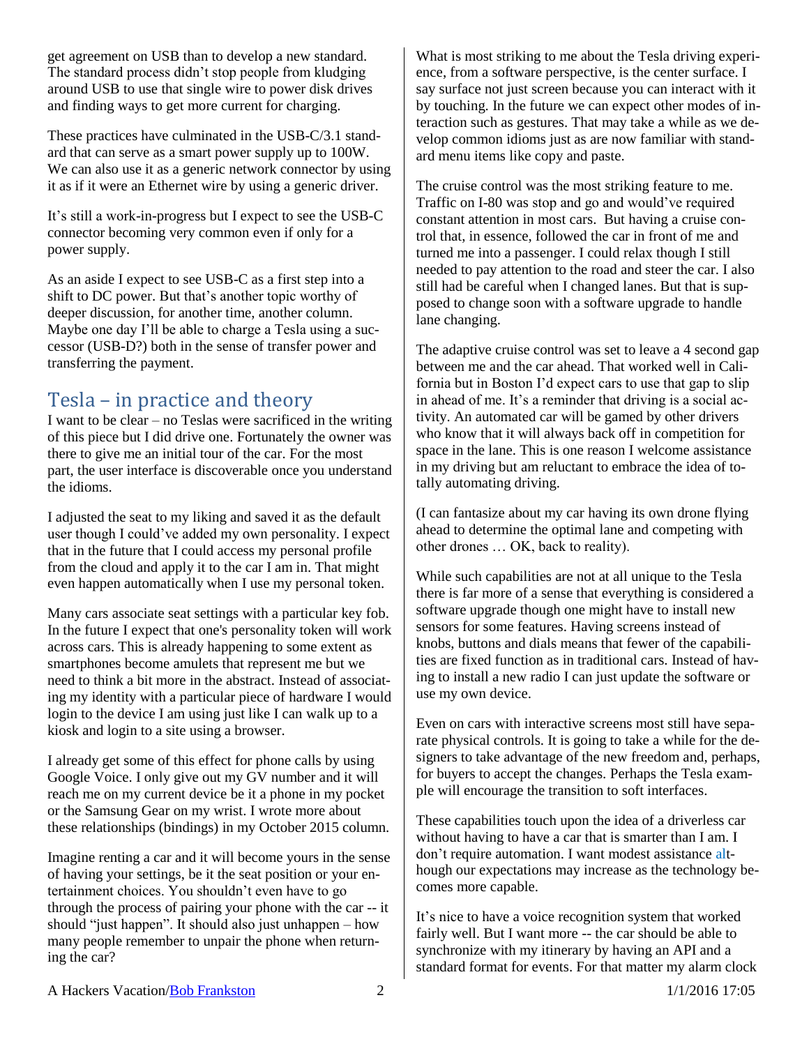get agreement on USB than to develop a new standard. The standard process didn't stop people from kludging around USB to use that single wire to power disk drives and finding ways to get more current for charging.

These practices have culminated in the USB-C/3.1 standard that can serve as a smart power supply up to 100W. We can also use it as a generic network connector by using it as if it were an Ethernet wire by using a generic driver.

It's still a work-in-progress but I expect to see the USB-C connector becoming very common even if only for a power supply.

As an aside I expect to see USB-C as a first step into a shift to DC power. But that's another topic worthy of deeper discussion, for another time, another column. Maybe one day I'll be able to charge a Tesla using a successor (USB-D?) both in the sense of transfer power and transferring the payment.

## Tesla – in practice and theory

I want to be clear – no Teslas were sacrificed in the writing of this piece but I did drive one. Fortunately the owner was there to give me an initial tour of the car. For the most part, the user interface is discoverable once you understand the idioms.

I adjusted the seat to my liking and saved it as the default user though I could've added my own personality. I expect that in the future that I could access my personal profile from the cloud and apply it to the car I am in. That might even happen automatically when I use my personal token.

Many cars associate seat settings with a particular key fob. In the future I expect that one's personality token will work across cars. This is already happening to some extent as smartphones become amulets that represent me but we need to think a bit more in the abstract. Instead of associating my identity with a particular piece of hardware I would login to the device I am using just like I can walk up to a kiosk and login to a site using a browser.

I already get some of this effect for phone calls by using Google Voice. I only give out my GV number and it will reach me on my current device be it a phone in my pocket or the Samsung Gear on my wrist. I wrote more about these relationships (bindings) in my October 2015 column.

Imagine renting a car and it will become yours in the sense of having your settings, be it the seat position or your entertainment choices. You shouldn't even have to go through the process of pairing your phone with the car -- it should "just happen". It should also just unhappen – how many people remember to unpair the phone when returning the car?

What is most striking to me about the Tesla driving experience, from a software perspective, is the center surface. I say surface not just screen because you can interact with it by touching. In the future we can expect other modes of interaction such as gestures. That may take a while as we develop common idioms just as are now familiar with standard menu items like copy and paste.

The cruise control was the most striking feature to me. Traffic on I-80 was stop and go and would've required constant attention in most cars. But having a cruise control that, in essence, followed the car in front of me and turned me into a passenger. I could relax though I still needed to pay attention to the road and steer the car. I also still had be careful when I changed lanes. But that is supposed to change soon with a software upgrade to handle lane changing.

The adaptive cruise control was set to leave a 4 second gap between me and the car ahead. That worked well in California but in Boston I'd expect cars to use that gap to slip in ahead of me. It's a reminder that driving is a social activity. An automated car will be gamed by other drivers who know that it will always back off in competition for space in the lane. This is one reason I welcome assistance in my driving but am reluctant to embrace the idea of totally automating driving.

(I can fantasize about my car having its own drone flying ahead to determine the optimal lane and competing with other drones … OK, back to reality).

While such capabilities are not at all unique to the Tesla there is far more of a sense that everything is considered a software upgrade though one might have to install new sensors for some features. Having screens instead of knobs, buttons and dials means that fewer of the capabilities are fixed function as in traditional cars. Instead of having to install a new radio I can just update the software or use my own device.

Even on cars with interactive screens most still have separate physical controls. It is going to take a while for the designers to take advantage of the new freedom and, perhaps, for buyers to accept the changes. Perhaps the Tesla example will encourage the transition to soft interfaces.

These capabilities touch upon the idea of a driverless car without having to have a car that is smarter than I am. I don't require automation. I want modest assistance although our expectations may increase as the technology becomes more capable.

It's nice to have a voice recognition system that worked fairly well. But I want more -- the car should be able to synchronize with my itinerary by having an API and a standard format for events. For that matter my alarm clock